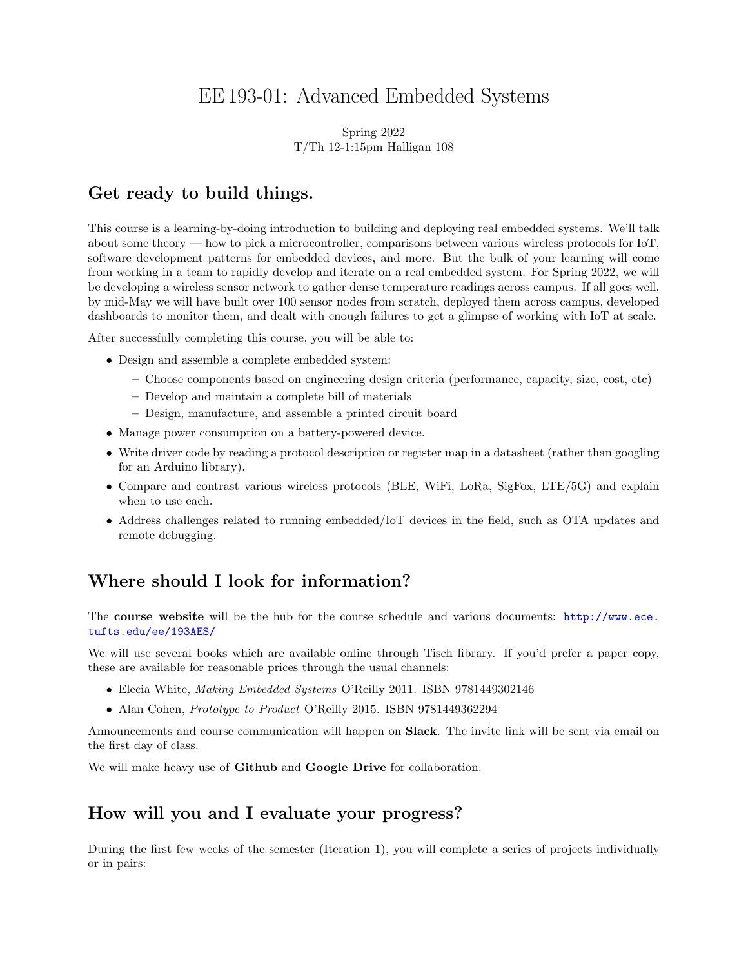# EE 193-01: Advanced Embedded Systems

#### Spring 2022 T/Th 12-1:15pm Halligan 108

## Get ready to build things.

This course is a learning-by-doing introduction to building and deploying real embedded systems. We'll talk about some theory — how to pick a microcontroller, comparisons between various wireless protocols for IoT, software development patterns for embedded devices, and more. But the bulk of your learning will come from working in a team to rapidly develop and iterate on a real embedded system. For Spring 2022, we will be developing a wireless sensor network to gather dense temperature readings across campus. If all goes well, by mid-May we will have built over 100 sensor nodes from scratch, deployed them across campus, developed dashboards to monitor them, and dealt with enough failures to get a glimpse of working with IoT at scale.

After successfully completing this course, you will be able to:

- Design and assemble a complete embedded system:
	- Choose components based on engineering design criteria (performance, capacity, size, cost, etc)
	- Develop and maintain a complete bill of materials
	- Design, manufacture, and assemble a printed circuit board
- Manage power consumption on a battery-powered device.
- Write driver code by reading a protocol description or register map in a datasheet (rather than googling for an Arduino library).
- Compare and contrast various wireless protocols (BLE, WiFi, LoRa, SigFox, LTE/5G) and explain when to use each.
- Address challenges related to running embedded/IoT devices in the field, such as OTA updates and remote debugging.

## Where should I look for information?

The course website will be the hub for the course schedule and various documents: [http://www.ece.](http://www.ece.tufts.edu/ee/193AES/) [tufts.edu/ee/193AES/](http://www.ece.tufts.edu/ee/193AES/)

We will use several books which are available online through Tisch library. If you'd prefer a paper copy, these are available for reasonable prices through the usual channels:

- Elecia White, *Making Embedded Systems* O'Reilly 2011. ISBN 9781449302146
- Alan Cohen, *Prototype to Product* O'Reilly 2015. ISBN 9781449362294

Announcements and course communication will happen on Slack. The invite link will be sent via email on the first day of class.

We will make heavy use of **Github** and **Google Drive** for collaboration.

## How will you and I evaluate your progress?

During the first few weeks of the semester (Iteration 1), you will complete a series of projects individually or in pairs: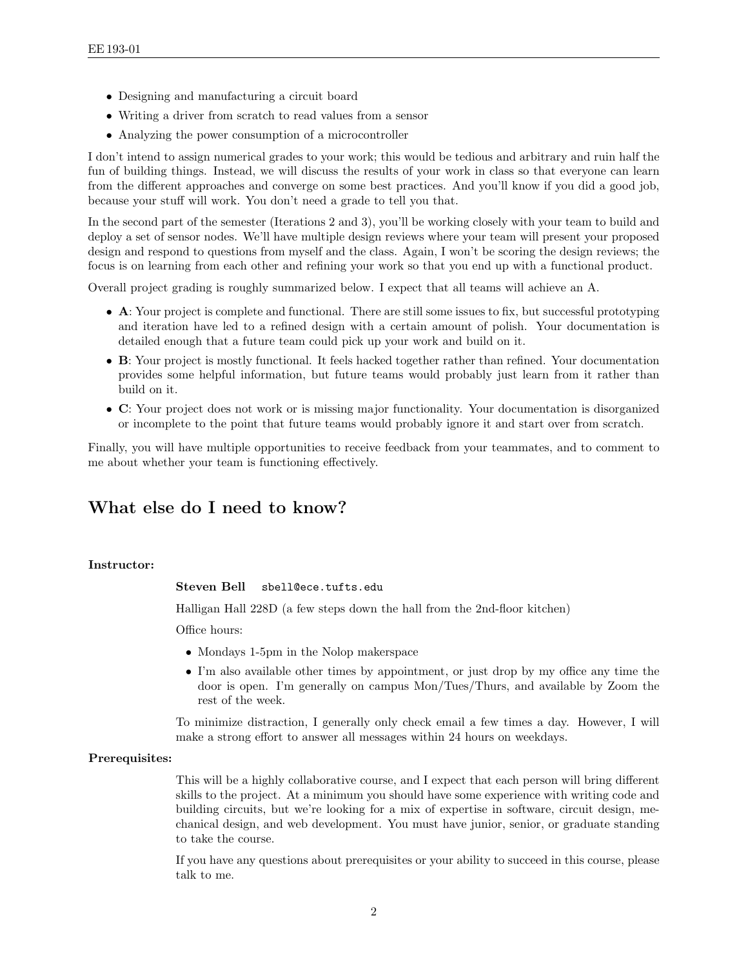- Designing and manufacturing a circuit board
- Writing a driver from scratch to read values from a sensor
- Analyzing the power consumption of a microcontroller

I don't intend to assign numerical grades to your work; this would be tedious and arbitrary and ruin half the fun of building things. Instead, we will discuss the results of your work in class so that everyone can learn from the different approaches and converge on some best practices. And you'll know if you did a good job, because your stuff will work. You don't need a grade to tell you that.

In the second part of the semester (Iterations 2 and 3), you'll be working closely with your team to build and deploy a set of sensor nodes. We'll have multiple design reviews where your team will present your proposed design and respond to questions from myself and the class. Again, I won't be scoring the design reviews; the focus is on learning from each other and refining your work so that you end up with a functional product.

Overall project grading is roughly summarized below. I expect that all teams will achieve an A.

- A: Your project is complete and functional. There are still some issues to fix, but successful prototyping and iteration have led to a refined design with a certain amount of polish. Your documentation is detailed enough that a future team could pick up your work and build on it.
- B: Your project is mostly functional. It feels hacked together rather than refined. Your documentation provides some helpful information, but future teams would probably just learn from it rather than build on it.
- C: Your project does not work or is missing major functionality. Your documentation is disorganized or incomplete to the point that future teams would probably ignore it and start over from scratch.

Finally, you will have multiple opportunities to receive feedback from your teammates, and to comment to me about whether your team is functioning effectively.

## What else do I need to know?

#### Instructor:

Steven Bell sbell@ece.tufts.edu

Halligan Hall 228D (a few steps down the hall from the 2nd-floor kitchen)

Office hours:

- Mondays 1-5pm in the Nolop makerspace
- I'm also available other times by appointment, or just drop by my office any time the door is open. I'm generally on campus Mon/Tues/Thurs, and available by Zoom the rest of the week.

To minimize distraction, I generally only check email a few times a day. However, I will make a strong effort to answer all messages within 24 hours on weekdays.

#### Prerequisites:

This will be a highly collaborative course, and I expect that each person will bring different skills to the project. At a minimum you should have some experience with writing code and building circuits, but we're looking for a mix of expertise in software, circuit design, mechanical design, and web development. You must have junior, senior, or graduate standing to take the course.

If you have any questions about prerequisites or your ability to succeed in this course, please talk to me.